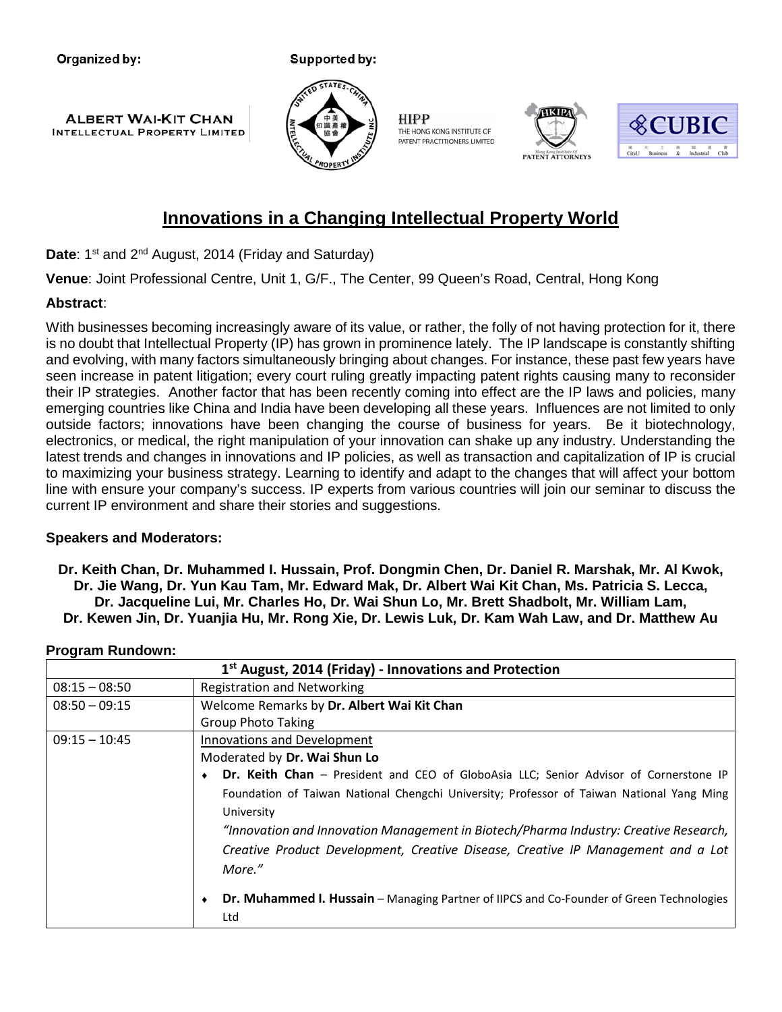Organized by:

Supported by:





**HIPP** THE HONG KONG INSTITUTE OF PATENT PRACTITIONERS LIMITED





# **Innovations in a Changing Intellectual Property World**

**Date:** 1<sup>st</sup> and 2<sup>nd</sup> August, 2014 (Friday and Saturday)

**Venue**: Joint Professional Centre, Unit 1, G/F., The Center, 99 Queen's Road, Central, Hong Kong

### **Abstract**:

With businesses becoming increasingly aware of its value, or rather, the folly of not having protection for it, there is no doubt that Intellectual Property (IP) has grown in prominence lately. The IP landscape is constantly shifting and evolving, with many factors simultaneously bringing about changes. For instance, these past few years have seen increase in patent litigation; every court ruling greatly impacting patent rights causing many to reconsider their IP strategies. Another factor that has been recently coming into effect are the IP laws and policies, many emerging countries like China and India have been developing all these years. Influences are not limited to only outside factors; innovations have been changing the course of business for years. Be it biotechnology, electronics, or medical, the right manipulation of your innovation can shake up any industry. Understanding the latest trends and changes in innovations and IP policies, as well as transaction and capitalization of IP is crucial to maximizing your business strategy. Learning to identify and adapt to the changes that will affect your bottom line with ensure your company's success. IP experts from various countries will join our seminar to discuss the current IP environment and share their stories and suggestions.

## **Speakers and Moderators:**

**Dr. Keith Chan, Dr. Muhammed I. Hussain, Prof. Dongmin Chen, Dr. Daniel R. Marshak, Mr. Al Kwok, Dr. Jie Wang, Dr. Yun Kau Tam, Mr. Edward Mak, Dr. Albert Wai Kit Chan, Ms. Patricia S. Lecca, Dr. Jacqueline Lui, Mr. Charles Ho, Dr. Wai Shun Lo, Mr. Brett Shadbolt, Mr. William Lam, Dr. Kewen Jin, Dr. Yuanjia Hu, Mr. Rong Xie, Dr. Lewis Luk, Dr. Kam Wah Law, and Dr. Matthew Au**

#### **Program Rundown:**

| $1st$ August, 2014 (Friday) - Innovations and Protection |                                                                                           |
|----------------------------------------------------------|-------------------------------------------------------------------------------------------|
| $08:15 - 08:50$                                          | <b>Registration and Networking</b>                                                        |
| $08:50 - 09:15$                                          | Welcome Remarks by Dr. Albert Wai Kit Chan                                                |
|                                                          | <b>Group Photo Taking</b>                                                                 |
| $09:15 - 10:45$                                          | <b>Innovations and Development</b>                                                        |
|                                                          | Moderated by Dr. Wai Shun Lo                                                              |
|                                                          | Dr. Keith Chan - President and CEO of GloboAsia LLC; Senior Advisor of Cornerstone IP     |
|                                                          | Foundation of Taiwan National Chengchi University; Professor of Taiwan National Yang Ming |
|                                                          | University                                                                                |
|                                                          | "Innovation and Innovation Management in Biotech/Pharma Industry: Creative Research,      |
|                                                          | Creative Product Development, Creative Disease, Creative IP Management and a Lot          |
|                                                          | More."                                                                                    |
|                                                          | Dr. Muhammed I. Hussain - Managing Partner of IIPCS and Co-Founder of Green Technologies  |
|                                                          | Ltd                                                                                       |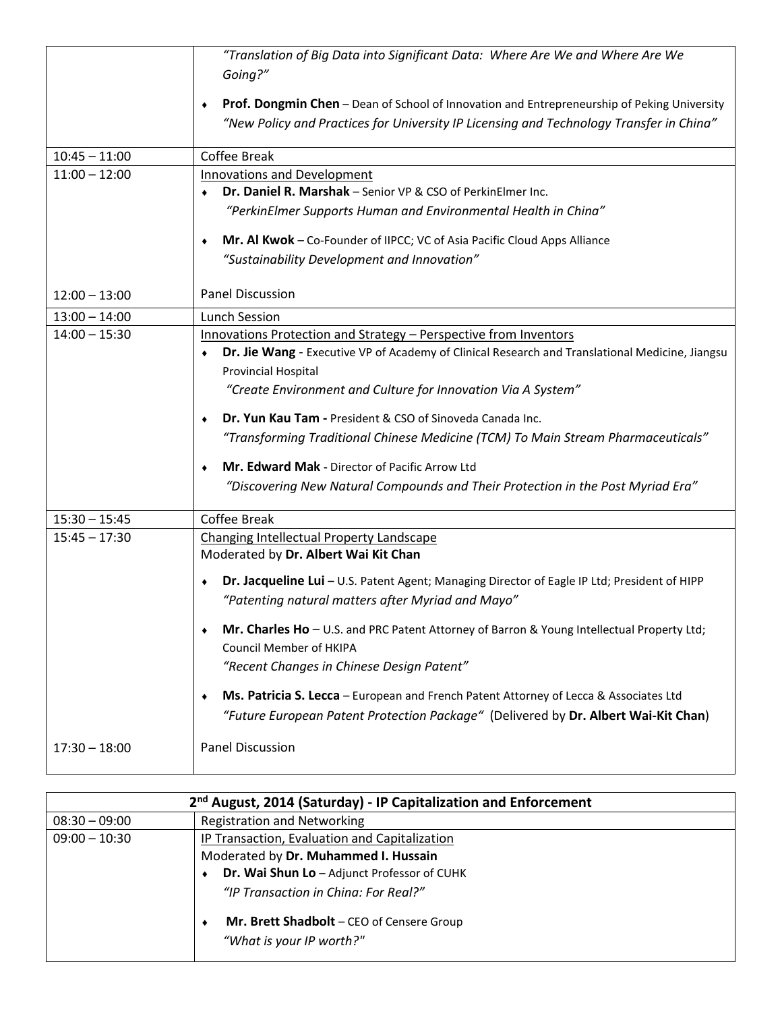|                 | "Translation of Big Data into Significant Data: Where Are We and Where Are We                     |
|-----------------|---------------------------------------------------------------------------------------------------|
|                 | Going?"                                                                                           |
|                 |                                                                                                   |
|                 | Prof. Dongmin Chen - Dean of School of Innovation and Entrepreneurship of Peking University<br>٠  |
|                 | "New Policy and Practices for University IP Licensing and Technology Transfer in China"           |
|                 |                                                                                                   |
| $10:45 - 11:00$ | <b>Coffee Break</b>                                                                               |
| $11:00 - 12:00$ | Innovations and Development                                                                       |
|                 | Dr. Daniel R. Marshak - Senior VP & CSO of PerkinElmer Inc.                                       |
|                 | "PerkinElmer Supports Human and Environmental Health in China"                                    |
|                 | Mr. Al Kwok - Co-Founder of IIPCC; VC of Asia Pacific Cloud Apps Alliance<br>٠                    |
|                 | "Sustainability Development and Innovation"                                                       |
|                 |                                                                                                   |
| $12:00 - 13:00$ | <b>Panel Discussion</b>                                                                           |
| $13:00 - 14:00$ | <b>Lunch Session</b>                                                                              |
| $14:00 - 15:30$ | Innovations Protection and Strategy - Perspective from Inventors                                  |
|                 | Dr. Jie Wang - Executive VP of Academy of Clinical Research and Translational Medicine, Jiangsu   |
|                 | <b>Provincial Hospital</b>                                                                        |
|                 | "Create Environment and Culture for Innovation Via A System"                                      |
|                 |                                                                                                   |
|                 | Dr. Yun Kau Tam - President & CSO of Sinoveda Canada Inc.<br>٠                                    |
|                 | "Transforming Traditional Chinese Medicine (TCM) To Main Stream Pharmaceuticals"                  |
|                 | Mr. Edward Mak - Director of Pacific Arrow Ltd<br>٠                                               |
|                 | "Discovering New Natural Compounds and Their Protection in the Post Myriad Era"                   |
|                 |                                                                                                   |
| $15:30 - 15:45$ | <b>Coffee Break</b>                                                                               |
| $15:45 - 17:30$ | Changing Intellectual Property Landscape                                                          |
|                 | Moderated by Dr. Albert Wai Kit Chan                                                              |
|                 | Dr. Jacqueline Lui - U.S. Patent Agent; Managing Director of Eagle IP Ltd; President of HIPP<br>۰ |
|                 | "Patenting natural matters after Myriad and Mayo"                                                 |
|                 |                                                                                                   |
|                 | Mr. Charles Ho - U.S. and PRC Patent Attorney of Barron & Young Intellectual Property Ltd;<br>٠   |
|                 | <b>Council Member of HKIPA</b>                                                                    |
|                 | "Recent Changes in Chinese Design Patent"                                                         |
|                 | Ms. Patricia S. Lecca - European and French Patent Attorney of Lecca & Associates Ltd<br>٠        |
|                 | "Future European Patent Protection Package" (Delivered by Dr. Albert Wai-Kit Chan)                |
|                 |                                                                                                   |
| $17:30 - 18:00$ | <b>Panel Discussion</b>                                                                           |
|                 |                                                                                                   |

| 2 <sup>nd</sup> August, 2014 (Saturday) - IP Capitalization and Enforcement |                                                  |
|-----------------------------------------------------------------------------|--------------------------------------------------|
| $08:30 - 09:00$                                                             | <b>Registration and Networking</b>               |
| $09:00 - 10:30$                                                             | IP Transaction, Evaluation and Capitalization    |
|                                                                             | Moderated by Dr. Muhammed I. Hussain             |
|                                                                             | Dr. Wai Shun Lo - Adjunct Professor of CUHK      |
|                                                                             | "IP Transaction in China: For Real?"             |
|                                                                             | <b>Mr. Brett Shadbolt</b> – CEO of Censere Group |
|                                                                             | "What is your IP worth?"                         |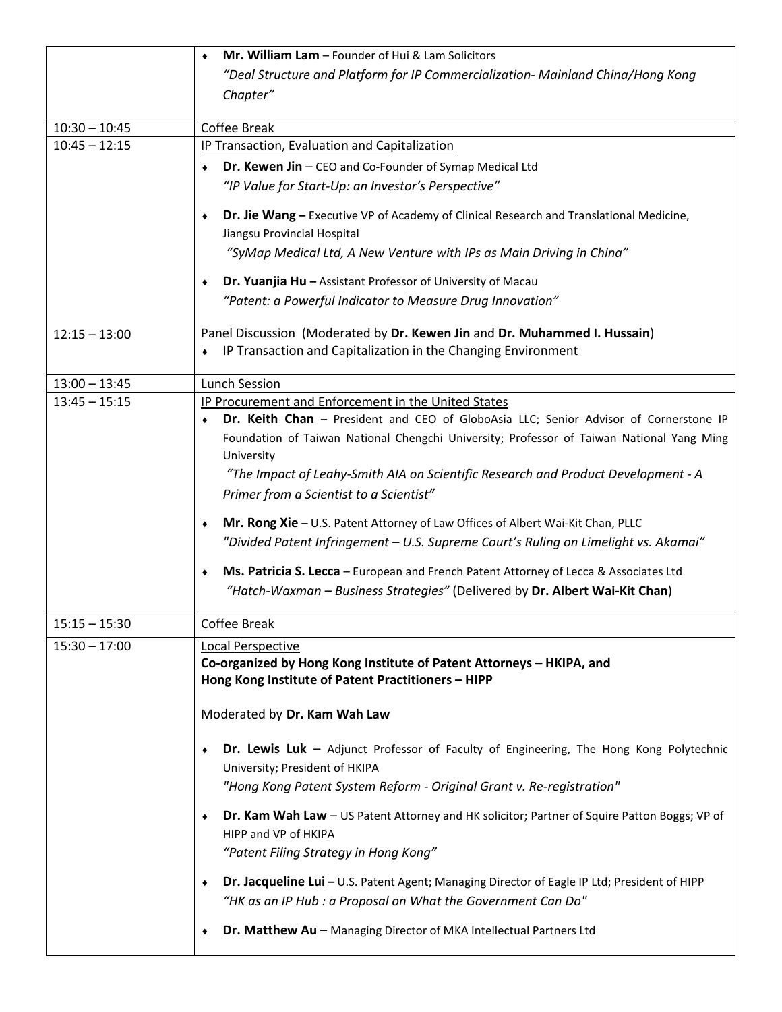|                 | Mr. William Lam - Founder of Hui & Lam Solicitors                                                 |
|-----------------|---------------------------------------------------------------------------------------------------|
|                 | "Deal Structure and Platform for IP Commercialization- Mainland China/Hong Kong                   |
|                 | Chapter"                                                                                          |
|                 |                                                                                                   |
| $10:30 - 10:45$ | <b>Coffee Break</b>                                                                               |
| $10:45 - 12:15$ | <b>IP Transaction, Evaluation and Capitalization</b>                                              |
|                 | Dr. Kewen Jin - CEO and Co-Founder of Symap Medical Ltd                                           |
|                 | "IP Value for Start-Up: an Investor's Perspective"                                                |
|                 | Dr. Jie Wang - Executive VP of Academy of Clinical Research and Translational Medicine,<br>٠      |
|                 | Jiangsu Provincial Hospital                                                                       |
|                 | "SyMap Medical Ltd, A New Venture with IPs as Main Driving in China"                              |
|                 |                                                                                                   |
|                 | <b>Dr. Yuanjia Hu</b> - Assistant Professor of University of Macau                                |
|                 | "Patent: a Powerful Indicator to Measure Drug Innovation"                                         |
| $12:15 - 13:00$ | Panel Discussion (Moderated by Dr. Kewen Jin and Dr. Muhammed I. Hussain)                         |
|                 | IP Transaction and Capitalization in the Changing Environment                                     |
|                 |                                                                                                   |
| $13:00 - 13:45$ | <b>Lunch Session</b>                                                                              |
| $13:45 - 15:15$ | IP Procurement and Enforcement in the United States                                               |
|                 | Dr. Keith Chan - President and CEO of GloboAsia LLC; Senior Advisor of Cornerstone IP             |
|                 | Foundation of Taiwan National Chengchi University; Professor of Taiwan National Yang Ming         |
|                 | University                                                                                        |
|                 | "The Impact of Leahy-Smith AIA on Scientific Research and Product Development - A                 |
|                 | Primer from a Scientist to a Scientist"                                                           |
|                 | Mr. Rong Xie - U.S. Patent Attorney of Law Offices of Albert Wai-Kit Chan, PLLC<br>٠              |
|                 | "Divided Patent Infringement - U.S. Supreme Court's Ruling on Limelight vs. Akamai"               |
|                 |                                                                                                   |
|                 | Ms. Patricia S. Lecca - European and French Patent Attorney of Lecca & Associates Ltd<br>۰        |
|                 | "Hatch-Waxman - Business Strategies" (Delivered by Dr. Albert Wai-Kit Chan)                       |
| $15:15 - 15:30$ | <b>Coffee Break</b>                                                                               |
| $15:30 - 17:00$ | Local Perspective                                                                                 |
|                 | Co-organized by Hong Kong Institute of Patent Attorneys - HKIPA, and                              |
|                 | Hong Kong Institute of Patent Practitioners - HIPP                                                |
|                 |                                                                                                   |
|                 | Moderated by Dr. Kam Wah Law                                                                      |
|                 | Dr. Lewis Luk - Adjunct Professor of Faculty of Engineering, The Hong Kong Polytechnic            |
|                 | University; President of HKIPA                                                                    |
|                 | "Hong Kong Patent System Reform - Original Grant v. Re-registration"                              |
|                 |                                                                                                   |
|                 | Dr. Kam Wah Law - US Patent Attorney and HK solicitor; Partner of Squire Patton Boggs; VP of<br>٠ |
|                 | HIPP and VP of HKIPA                                                                              |
|                 | "Patent Filing Strategy in Hong Kong"                                                             |
|                 | Dr. Jacqueline Lui - U.S. Patent Agent; Managing Director of Eagle IP Ltd; President of HIPP<br>٠ |
|                 | "HK as an IP Hub : a Proposal on What the Government Can Do"                                      |
|                 |                                                                                                   |
|                 | Dr. Matthew Au - Managing Director of MKA Intellectual Partners Ltd<br>٠                          |
|                 |                                                                                                   |